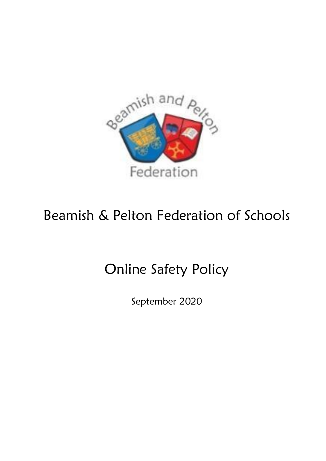

# Beamish & Pelton Federation of Schools

# Online Safety Policy

September 2020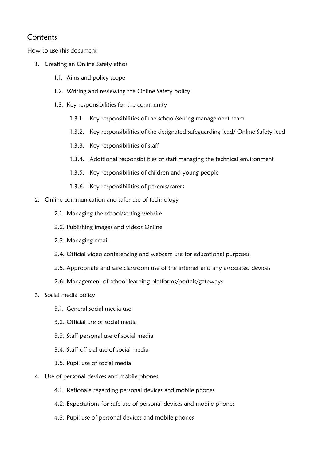#### **Contents**

How to use this document

- 1. Creating an Online Safety ethos
	- 1.1. Aims and policy scope
	- 1.2. Writing and reviewing the Online Safety policy
	- 1.3. Key responsibilities for the community
		- 1.3.1. Key responsibilities of the school/setting management team
		- 1.3.2. Key responsibilities of the designated safeguarding lead/ Online Safety lead
		- 1.3.3. Key responsibilities of staff
		- 1.3.4. Additional responsibilities of staff managing the technical environment
		- 1.3.5. Key responsibilities of children and young people
		- 1.3.6. Key responsibilities of parents/carers
- 2. Online communication and safer use of technology
	- 2.1. Managing the school/setting website
	- 2.2. Publishing images and videos Online
	- 2.3. Managing email
	- 2.4. Official video conferencing and webcam use for educational purposes
	- 2.5. Appropriate and safe classroom use of the internet and any associated devices
	- 2.6. Management of school learning platforms/portals/gateways
- 3. Social media policy
	- 3.1. General social media use
	- 3.2. Official use of social media
	- 3.3. Staff personal use of social media
	- 3.4. Staff official use of social media
	- 3.5. Pupil use of social media
- 4. Use of personal devices and mobile phones
	- 4.1. Rationale regarding personal devices and mobile phones
	- 4.2. Expectations for safe use of personal devices and mobile phones
	- 4.3. Pupil use of personal devices and mobile phones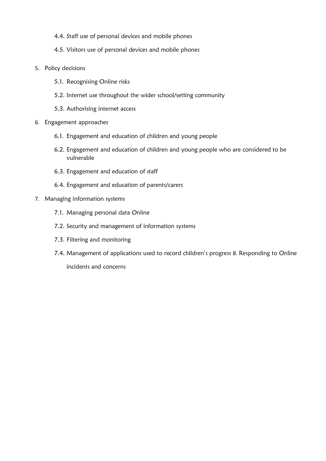- 4.4. Staff use of personal devices and mobile phones
- 4.5. Visitors use of personal devices and mobile phones
- 5. Policy decisions
	- 5.1. Recognising Online risks
	- 5.2. Internet use throughout the wider school/setting community
	- 5.3. Authorising internet access
- 6. Engagement approaches
	- 6.1. Engagement and education of children and young people
	- 6.2. Engagement and education of children and young people who are considered to be vulnerable
	- 6.3. Engagement and education of staff
	- 6.4. Engagement and education of parents/carers
- 7. Managing information systems
	- 7.1. Managing personal data Online
	- 7.2. Security and management of information systems
	- 7.3. Filtering and monitoring
	- 7.4. Management of applications used to record children's progress 8. Responding to Online

incidents and concerns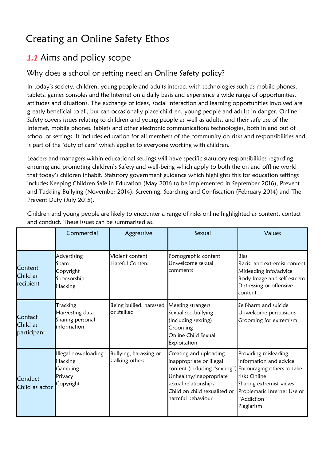# Creating an Online Safety Ethos

### *1.1* Aims and policy scope

#### Why does a school or setting need an Online Safety policy?

In today's society, children, young people and adults interact with technologies such as mobile phones, tablets, games consoles and the Internet on a daily basis and experience a wide range of opportunities, attitudes and situations. The exchange of ideas, social interaction and learning opportunities involved are greatly beneficial to all, but can occasionally place children, young people and adults in danger. Online Safety covers issues relating to children and young people as well as adults, and their safe use of the Internet, mobile phones, tablets and other electronic communications technologies, both in and out of school or settings. It includes education for all members of the community on risks and responsibilities and is part of the 'duty of care' which applies to everyone working with children.

Leaders and managers within educational settings will have specific statutory responsibilities regarding ensuring and promoting children's Safety and well-being which apply to both the on and offline world that today's children inhabit. Statutory government guidance which highlights this for education settings includes Keeping Children Safe in Education (May 2016 to be implemented in September 2016), Prevent and Tackling Bullying (November 2014), Screening, Searching and Confiscation (February 2014) and The Prevent Duty (July 2015).

|                                    | Commercial                                                         | Aggressive                                | Sexual                                                                                                                                                                                                                 | Values                                                                                                                                                |
|------------------------------------|--------------------------------------------------------------------|-------------------------------------------|------------------------------------------------------------------------------------------------------------------------------------------------------------------------------------------------------------------------|-------------------------------------------------------------------------------------------------------------------------------------------------------|
| Content<br>Child as<br>recipient   | Advertising<br>Spam<br>Copyright<br>Sponsorship<br>Hacking         | Violent content<br><b>Hateful Content</b> | Pornographic content<br>Unwelcome sexual<br>comments                                                                                                                                                                   | <b>Bias</b><br>Racist and extremist content<br>Misleading info/advice<br>Body Image and self esteem<br>Distressing or offensive<br>content            |
| Contact<br>Child as<br>participant | Tracking<br>Harvesting data<br>Sharing personal<br>linformation    | Being bullied, harassed<br>or stalked     | Meeting strangers<br>Sexualised bullying<br>(including sexting)<br>Grooming<br>Online Child Sexual<br>Exploitation                                                                                                     | Self-harm and suicide<br>Unwelcome persuasions<br>Grooming for extremism                                                                              |
| Conduct<br>Child as actor          | Illegal downloading<br>Hacking<br>Gambling<br>Privacy<br>Copyright | Bullying, harassing or<br>stalking others | Creating and uploading<br>inappropriate or illegal<br>content (including "sexting") Encouraging others to take<br>Unhealthy/inappropriate<br>sexual relationships<br>Child on child sexualised or<br>harmful behaviour | Providing misleading<br>information and advice<br>risks Online<br>Sharing extremist views<br>Problematic Internet Use or<br>"Addiction"<br>Plagiarism |

Children and young people are likely to encounter a range of risks online highlighted as content, contact and conduct. These issues can be summarised as: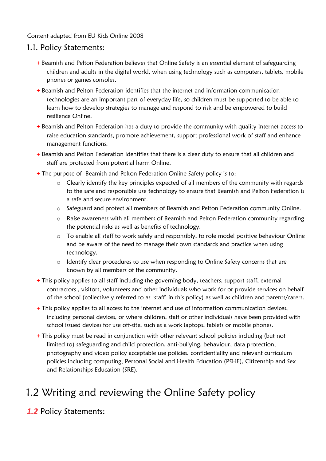#### Content adapted from EU Kids Online 2008

#### 1.1. Policy Statements:

- **+** Beamish and Pelton Federation believes that Online Safety is an essential element of safeguarding children and adults in the digital world, when using technology such as computers, tablets, mobile phones or games consoles.
- **+** Beamish and Pelton Federation identifies that the internet and information communication technologies are an important part of everyday life, so children must be supported to be able to learn how to develop strategies to manage and respond to risk and be empowered to build resilience Online.
- **+** Beamish and Pelton Federation has a duty to provide the community with quality Internet access to raise education standards, promote achievement, support professional work of staff and enhance management functions.
- **+** Beamish and Pelton Federation identifies that there is a clear duty to ensure that all children and staff are protected from potential harm Online.
- **+** The purpose of Beamish and Pelton Federation Online Safety policy is to:
	- o Clearly identify the key principles expected of all members of the community with regards to the safe and responsible use technology to ensure that Beamish and Pelton Federation is a safe and secure environment.
	- o Safeguard and protect all members of Beamish and Pelton Federation community Online.
	- o Raise awareness with all members of Beamish and Pelton Federation community regarding the potential risks as well as benefits of technology.
	- o To enable all staff to work safely and responsibly, to role model positive behaviour Online and be aware of the need to manage their own standards and practice when using technology.
	- o Identify clear procedures to use when responding to Online Safety concerns that are known by all members of the community.
- **+** This policy applies to all staff including the governing body, teachers, support staff, external contractors , visitors, volunteers and other individuals who work for or provide services on behalf of the school (collectively referred to as 'staff' in this policy) as well as children and parents/carers.
- **+** This policy applies to all access to the internet and use of information communication devices, including personal devices, or where children, staff or other individuals have been provided with school issued devices for use off-site, such as a work laptops, tablets or mobile phones.
- **+** This policy must be read in conjunction with other relevant school policies including (but not limited to) safeguarding and child protection, anti-bullying, behaviour, data protection, photography and video policy acceptable use policies, confidentiality and relevant curriculum policies including computing, Personal Social and Health Education (PSHE), Citizenship and Sex and Relationships Education (SRE).

# 1.2 Writing and reviewing the Online Safety policy

*1.2* Policy Statements: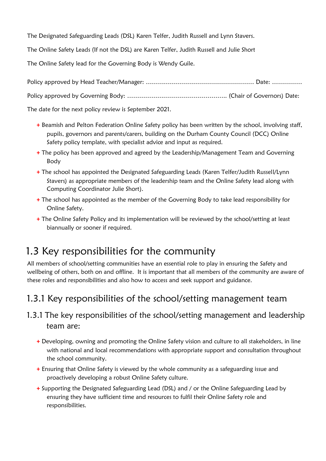The Designated Safeguarding Leads (DSL) Karen Telfer, Judith Russell and Lynn Stavers.

The Online Safety Leads (If not the DSL) are Karen Telfer, Judith Russell and Julie Short

The Online Safety lead for the Governing Body is Wendy Guile.

Policy approved by Head Teacher/Manager: ……………………………………………… Date: ……………

Policy approved by Governing Body: ………………………………………….. (Chair of Governors) Date:

The date for the next policy review is September 2021.

- **+** Beamish and Pelton Federation Online Safety policy has been written by the school, involving staff, pupils, governors and parents/carers, building on the Durham County Council (DCC) Online Safety policy template, with specialist advice and input as required.
- **+** The policy has been approved and agreed by the Leadership/Management Team and Governing Body
- **+** The school has appointed the Designated Safeguarding Leads (Karen Telfer/Judith Russell/Lynn Stavers) as appropriate members of the leadership team and the Online Safety lead along with Computing Coordinator Julie Short).
- **+** The school has appointed as the member of the Governing Body to take lead responsibility for Online Safety.
- **+** The Online Safety Policy and its implementation will be reviewed by the school/setting at least biannually or sooner if required.

### 1.3 Key responsibilities for the community

All members of school/setting communities have an essential role to play in ensuring the Safety and wellbeing of others, both on and offline. It is important that all members of the community are aware of these roles and responsibilities and also how to access and seek support and guidance.

### 1.3.1 Key responsibilities of the school/setting management team

#### 1.3.1 The key responsibilities of the school/setting management and leadership team are:

- **+** Developing, owning and promoting the Online Safety vision and culture to all stakeholders, in line with national and local recommendations with appropriate support and consultation throughout the school community.
- **+** Ensuring that Online Safety is viewed by the whole community as a safeguarding issue and proactively developing a robust Online Safety culture.
- **+** Supporting the Designated Safeguarding Lead (DSL) and / or the Online Safeguarding Lead by ensuring they have sufficient time and resources to fulfil their Online Safety role and responsibilities.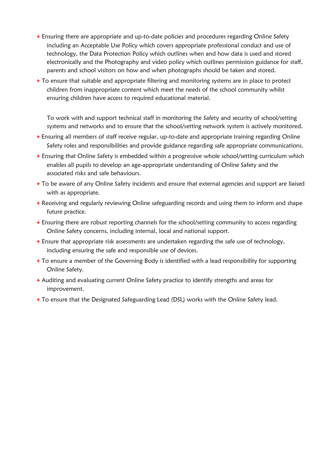- **+** Ensuring there are appropriate and up-to-date policies and procedures regarding Online Safety including an Acceptable Use Policy which covers appropriate professional conduct and use of technology, the Data Protection Policy which outlines when and how data is used and stored electronically and the Photography and video policy which outlines permission guidance for staff, parents and school visitors on how and when photographs should be taken and stored.
- **+** To ensure that suitable and appropriate filtering and monitoring systems are in place to protect children from inappropriate content which meet the needs of the school community whilst ensuring children have access to required educational material.

To work with and support technical staff in monitoring the Safety and security of school/setting systems and networks and to ensure that the school/setting network system is actively monitored.

- **+** Ensuring all members of staff receive regular, up-to-date and appropriate training regarding Online Safety roles and responsibilities and provide guidance regarding safe appropriate communications.
- **+** Ensuring that Online Safety is embedded within a progressive whole school/setting curriculum which enables all pupils to develop an age-appropriate understanding of Online Safety and the associated risks and safe behaviours.
- **+** To be aware of any Online Safety incidents and ensure that external agencies and support are liaised with as appropriate.
- **+** Receiving and regularly reviewing Online safeguarding records and using them to inform and shape future practice.
- **+** Ensuring there are robust reporting channels for the school/setting community to access regarding Online Safety concerns, including internal, local and national support.
- **+** Ensure that appropriate risk assessments are undertaken regarding the safe use of technology, including ensuring the safe and responsible use of devices.
- **+** To ensure a member of the Governing Body is identified with a lead responsibility for supporting Online Safety.
- **+** Auditing and evaluating current Online Safety practice to identify strengths and areas for improvement.
- **+** To ensure that the Designated Safeguarding Lead (DSL) works with the Online Safety lead.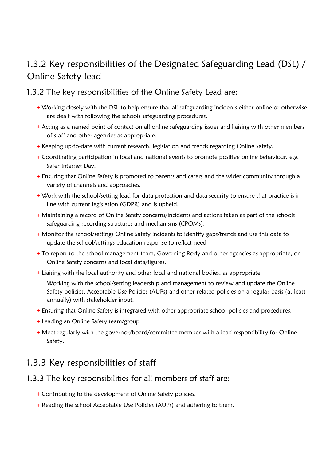### 1.3.2 Key responsibilities of the Designated Safeguarding Lead (DSL) / Online Safety lead

#### 1.3.2 The key responsibilities of the Online Safety Lead are:

- **+** Working closely with the DSL to help ensure that all safeguarding incidents either online or otherwise are dealt with following the schools safeguarding procedures.
- **+** Acting as a named point of contact on all online safeguarding issues and liaising with other members of staff and other agencies as appropriate.
- **+** Keeping up-to-date with current research, legislation and trends regarding Online Safety.
- **+** Coordinating participation in local and national events to promote positive online behaviour, e.g. Safer Internet Day.
- **+** Ensuring that Online Safety is promoted to parents and carers and the wider community through a variety of channels and approaches.
- **+** Work with the school/setting lead for data protection and data security to ensure that practice is in line with current legislation (GDPR) and is upheld.
- **+** Maintaining a record of Online Safety concerns/incidents and actions taken as part of the schools safeguarding recording structures and mechanisms (CPOMs).
- **+** Monitor the school/settings Online Safety incidents to identify gaps/trends and use this data to update the school/settings education response to reflect need
- **+** To report to the school management team, Governing Body and other agencies as appropriate, on Online Safety concerns and local data/figures.
- **+** Liaising with the local authority and other local and national bodies, as appropriate.

Working with the school/setting leadership and management to review and update the Online Safety policies, Acceptable Use Policies (AUPs) and other related policies on a regular basis (at least annually) with stakeholder input.

- **+** Ensuring that Online Safety is integrated with other appropriate school policies and procedures.
- **+** Leading an Online Safety team/group
- **+** Meet regularly with the governor/board/committee member with a lead responsibility for Online Safety.

### 1.3.3 Key responsibilities of staff

#### 1.3.3 The key responsibilities for all members of staff are:

- **+** Contributing to the development of Online Safety policies.
- **+** Reading the school Acceptable Use Policies (AUPs) and adhering to them.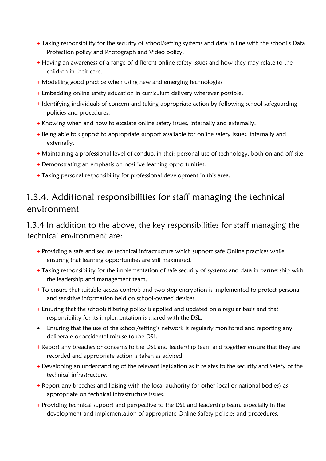- **+** Taking responsibility for the security of school/setting systems and data in line with the school's Data Protection policy and Photograph and Video policy.
- **+** Having an awareness of a range of different online safety issues and how they may relate to the children in their care.
- **+** Modelling good practice when using new and emerging technologies
- **+** Embedding online safety education in curriculum delivery wherever possible.
- **+** Identifying individuals of concern and taking appropriate action by following school safeguarding policies and procedures.
- **+** Knowing when and how to escalate online safety issues, internally and externally.
- **+** Being able to signpost to appropriate support available for online safety issues, internally and externally.
- **+** Maintaining a professional level of conduct in their personal use of technology, both on and off site.
- **+** Demonstrating an emphasis on positive learning opportunities.
- **+** Taking personal responsibility for professional development in this area.

### 1.3.4. Additional responsibilities for staff managing the technical environment

#### 1.3.4 In addition to the above, the key responsibilities for staff managing the technical environment are:

- **+** Providing a safe and secure technical infrastructure which support safe Online practices while ensuring that learning opportunities are still maximised.
- **+** Taking responsibility for the implementation of safe security of systems and data in partnership with the leadership and management team.
- **+** To ensure that suitable access controls and two-step encryption is implemented to protect personal and sensitive information held on school-owned devices.
- **+** Ensuring that the schools filtering policy is applied and updated on a regular basis and that responsibility for its implementation is shared with the DSL.
- Ensuring that the use of the school/setting's network is regularly monitored and reporting any deliberate or accidental misuse to the DSL.
- **+** Report any breaches or concerns to the DSL and leadership team and together ensure that they are recorded and appropriate action is taken as advised.
- **+** Developing an understanding of the relevant legislation as it relates to the security and Safety of the technical infrastructure.
- **+** Report any breaches and liaising with the local authority (or other local or national bodies) as appropriate on technical infrastructure issues.
- **+** Providing technical support and perspective to the DSL and leadership team, especially in the development and implementation of appropriate Online Safety policies and procedures.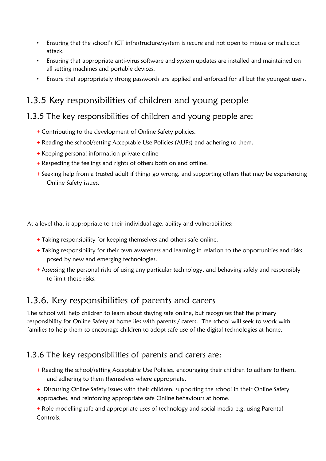- Ensuring that the school's ICT infrastructure/system is secure and not open to misuse or malicious attack.
- Ensuring that appropriate anti-virus software and system updates are installed and maintained on all setting machines and portable devices.
- Ensure that appropriately strong passwords are applied and enforced for all but the youngest users.

### 1.3.5 Key responsibilities of children and young people

#### 1.3.5 The key responsibilities of children and young people are:

- **+** Contributing to the development of Online Safety policies.
- **+** Reading the school/setting Acceptable Use Policies (AUPs) and adhering to them.
- **+** Keeping personal information private online
- **+** Respecting the feelings and rights of others both on and offline.
- **+** Seeking help from a trusted adult if things go wrong, and supporting others that may be experiencing Online Safety issues.

At a level that is appropriate to their individual age, ability and vulnerabilities:

- **+** Taking responsibility for keeping themselves and others safe online.
- **+** Taking responsibility for their own awareness and learning in relation to the opportunities and risks posed by new and emerging technologies.
- **+** Assessing the personal risks of using any particular technology, and behaving safely and responsibly to limit those risks.

### 1.3.6. Key responsibilities of parents and carers

The school will help children to learn about staying safe online, but recognises that the primary responsibility for Online Safety at home lies with parents / carers. The school will seek to work with families to help them to encourage children to adopt safe use of the digital technologies at home.

#### 1.3.6 The key responsibilities of parents and carers are:

- **+** Reading the school/setting Acceptable Use Policies, encouraging their children to adhere to them, and adhering to them themselves where appropriate.
- **+** Discussing Online Safety issues with their children, supporting the school in their Online Safety approaches, and reinforcing appropriate safe Online behaviours at home.

**+** Role modelling safe and appropriate uses of technology and social media e.g. using Parental Controls.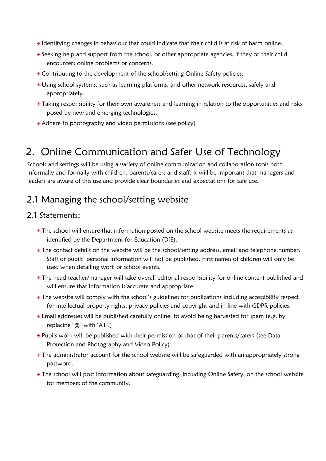- **+** Identifying changes in behaviour that could indicate that their child is at risk of harm online.
- **+** Seeking help and support from the school, or other appropriate agencies, if they or their child encounters online problems or concerns.
- **+** Contributing to the development of the school/setting Online Safety policies.
- **+** Using school systems, such as learning platforms, and other network resources, safely and appropriately.
- **+** Taking responsibility for their own awareness and learning in relation to the opportunities and risks posed by new and emerging technologies.
- **+** Adhere to photography and video permissions (see policy)

### 2. Online Communication and Safer Use of Technology

Schools and settings will be using a variety of online communication and collaboration tools both informally and formally with children, parents/carers and staff. It will be important that managers and leaders are aware of this use and provide clear boundaries and expectations for safe use.

### 2.1 Managing the school/setting website

#### 2.1 Statements:

- **+** The school will ensure that information posted on the school website meets the requirements as identified by the Department for Education (DfE).
- **+** The contact details on the website will be the school/setting address, email and telephone number. Staff or pupils' personal information will not be published. First names of children will only be used when detailing work or school events.
- **+** The head teacher/manager will take overall editorial responsibility for online content published and will ensure that information is accurate and appropriate.
- **+** The website will comply with the school's guidelines for publications including accessibility respect for intellectual property rights, privacy policies and copyright and in line with GDPR policies.
- **+** Email addresses will be published carefully online, to avoid being harvested for spam (e.g. by replacing '@' with 'AT'.)
- **+** Pupils work will be published with their permission or that of their parents/carers (see Data Protection and Photography and Video Policy)
- **+** The administrator account for the school website will be safeguarded with an appropriately strong password.
- **+** The school will post information about safeguarding, including Online Safety, on the school website for members of the community.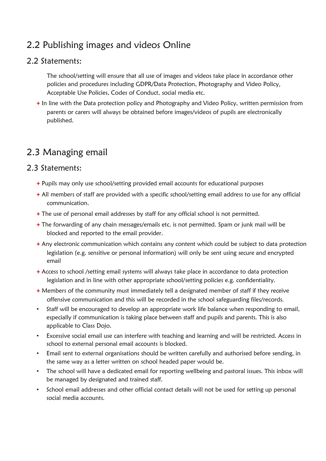### 2.2 Publishing images and videos Online

#### 2.2 Statements:

The school/setting will ensure that all use of images and videos take place in accordance other policies and procedures including GDPR/Data Protection, Photography and Video Policy, Acceptable Use Policies, Codes of Conduct, social media etc.

**+** In line with the Data protection policy and Photography and Video Policy, written permission from parents or carers will always be obtained before images/videos of pupils are electronically published.

### 2.3 Managing email

#### 2.3 Statements:

- **+** Pupils may only use school/setting provided email accounts for educational purposes
- **+** All members of staff are provided with a specific school/setting email address to use for any official communication.
- **+** The use of personal email addresses by staff for any official school is not permitted.
- **+** The forwarding of any chain messages/emails etc. is not permitted. Spam or junk mail will be blocked and reported to the email provider.
- **+** Any electronic communication which contains any content which could be subject to data protection legislation (e.g. sensitive or personal information) will only be sent using secure and encrypted email
- **+** Access to school /setting email systems will always take place in accordance to data protection legislation and in line with other appropriate school/setting policies e.g. confidentiality.
- **+** Members of the community must immediately tell a designated member of staff if they receive offensive communication and this will be recorded in the school safeguarding files/records.
- Staff will be encouraged to develop an appropriate work life balance when responding to email, especially if communication is taking place between staff and pupils and parents. This is also applicable to Class Dojo.
- Excessive social email use can interfere with teaching and learning and will be restricted. Access in school to external personal email accounts is blocked.
- Email sent to external organisations should be written carefully and authorised before sending, in the same way as a letter written on school headed paper would be.
- The school will have a dedicated email for reporting wellbeing and pastoral issues. This inbox will be managed by designated and trained staff.
- School email addresses and other official contact details will not be used for setting up personal social media accounts.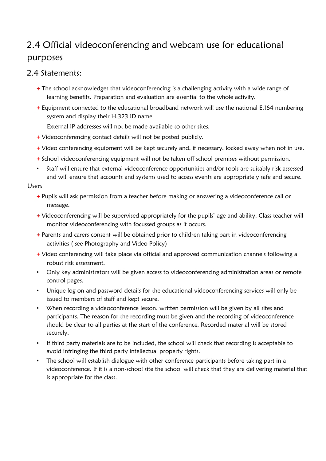### 2.4 Official videoconferencing and webcam use for educational purposes

#### 2.4 Statements:

- **+** The school acknowledges that videoconferencing is a challenging activity with a wide range of learning benefits. Preparation and evaluation are essential to the whole activity.
- **+** Equipment connected to the educational broadband network will use the national E.164 numbering system and display their H.323 ID name.
	- External IP addresses will not be made available to other sites.
- **+** Videoconferencing contact details will not be posted publicly.
- **+** Video conferencing equipment will be kept securely and, if necessary, locked away when not in use.
- **+** School videoconferencing equipment will not be taken off school premises without permission.
- Staff will ensure that external videoconference opportunities and/or tools are suitably risk assessed and will ensure that accounts and systems used to access events are appropriately safe and secure.

#### Users

- **+** Pupils will ask permission from a teacher before making or answering a videoconference call or message.
- **+** Videoconferencing will be supervised appropriately for the pupils' age and ability. Class teacher will monitor videoconferencing with focussed groups as it occurs.
- **+** Parents and carers consent will be obtained prior to children taking part in videoconferencing activities ( see Photography and Video Policy)
- **+** Video conferencing will take place via official and approved communication channels following a robust risk assessment.
- Only key administrators will be given access to videoconferencing administration areas or remote control pages.
- Unique log on and password details for the educational videoconferencing services will only be issued to members of staff and kept secure.
- When recording a videoconference lesson, written permission will be given by all sites and participants. The reason for the recording must be given and the recording of videoconference should be clear to all parties at the start of the conference. Recorded material will be stored securely.
- If third party materials are to be included, the school will check that recording is acceptable to avoid infringing the third party intellectual property rights.
- The school will establish dialogue with other conference participants before taking part in a videoconference. If it is a non-school site the school will check that they are delivering material that is appropriate for the class.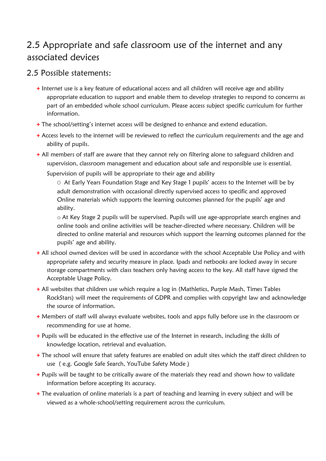### 2.5 Appropriate and safe classroom use of the internet and any associated devices

#### 2.5 Possible statements:

- **+** Internet use is a key feature of educational access and all children will receive age and ability appropriate education to support and enable them to develop strategies to respond to concerns as part of an embedded whole school curriculum. Please access subject specific curriculum for further information.
- **+** The school/setting's internet access will be designed to enhance and extend education.
- **+** Access levels to the internet will be reviewed to reflect the curriculum requirements and the age and ability of pupils.
- **+** All members of staff are aware that they cannot rely on filtering alone to safeguard children and supervision, classroom management and education about safe and responsible use is essential.

Supervision of pupils will be appropriate to their age and ability

O At Early Years Foundation Stage and Key Stage 1 pupils' access to the Internet will be by adult demonstration with occasional directly supervised access to specific and approved Online materials which supports the learning outcomes planned for the pupils' age and ability.

o At Key Stage 2 pupils will be supervised. Pupils will use age-appropriate search engines and online tools and online activities will be teacher-directed where necessary. Children will be directed to online material and resources which support the learning outcomes planned for the pupils' age and ability.

- **+** All school owned devices will be used in accordance with the school Acceptable Use Policy and with appropriate safety and security measure in place. Ipads and netbooks are locked away in secure storage compartments with class teachers only having access to the key. All staff have signed the Acceptable Usage Policy.
- **+** All websites that children use which require a log in (Mathletics, Purple Mash, Times Tables RockStars) will meet the requirements of GDPR and complies with copyright law and acknowledge the source of information.
- **+** Members of staff will always evaluate websites, tools and apps fully before use in the classroom or recommending for use at home.
- **+** Pupils will be educated in the effective use of the Internet in research, including the skills of knowledge location, retrieval and evaluation.
- **+** The school will ensure that safety features are enabled on adult sites which the staff direct children to use ( e.g. Google Safe Search, YouTube Safety Mode )
- **+** Pupils will be taught to be critically aware of the materials they read and shown how to validate information before accepting its accuracy.
- **+** The evaluation of online materials is a part of teaching and learning in every subject and will be viewed as a whole-school/setting requirement across the curriculum.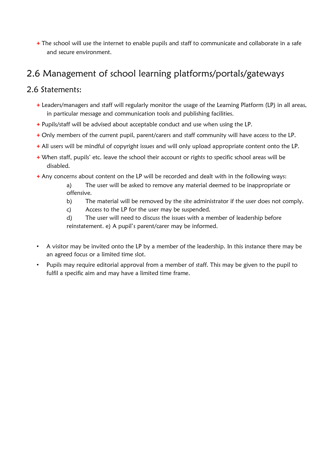**+** The school will use the internet to enable pupils and staff to communicate and collaborate in a safe and secure environment.

### 2.6 Management of school learning platforms/portals/gateways

#### 2.6 Statements:

- **+** Leaders/managers and staff will regularly monitor the usage of the Learning Platform (LP) in all areas, in particular message and communication tools and publishing facilities.
- **+** Pupils/staff will be advised about acceptable conduct and use when using the LP.
- **+** Only members of the current pupil, parent/carers and staff community will have access to the LP.
- **+** All users will be mindful of copyright issues and will only upload appropriate content onto the LP.
- **+** When staff, pupils' etc. leave the school their account or rights to specific school areas will be disabled.
- **+** Any concerns about content on the LP will be recorded and dealt with in the following ways:
	- a) The user will be asked to remove any material deemed to be inappropriate or offensive.
	- b) The material will be removed by the site administrator if the user does not comply.
	- c) Access to the LP for the user may be suspended.
	- d) The user will need to discuss the issues with a member of leadership before reinstatement. e) A pupil's parent/carer may be informed.
- A visitor may be invited onto the LP by a member of the leadership. In this instance there may be an agreed focus or a limited time slot.
- Pupils may require editorial approval from a member of staff. This may be given to the pupil to fulfil a specific aim and may have a limited time frame.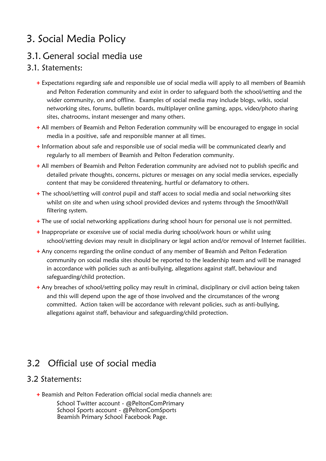# 3. Social Media Policy

### 3.1. General social media use

#### 3.1. Statements:

- **+** Expectations regarding safe and responsible use of social media will apply to all members of Beamish and Pelton Federation community and exist in order to safeguard both the school/setting and the wider community, on and offline. Examples of social media may include blogs, wikis, social networking sites, forums, bulletin boards, multiplayer online gaming, apps, video/photo sharing sites, chatrooms, instant messenger and many others.
- **+** All members of Beamish and Pelton Federation community will be encouraged to engage in social media in a positive, safe and responsible manner at all times.
- **+** Information about safe and responsible use of social media will be communicated clearly and regularly to all members of Beamish and Pelton Federation community.
- **+** All members of Beamish and Pelton Federation community are advised not to publish specific and detailed private thoughts, concerns, pictures or messages on any social media services, especially content that may be considered threatening, hurtful or defamatory to others.
- **+** The school/setting will control pupil and staff access to social media and social networking sites whilst on site and when using school provided devices and systems through the SmoothWall filtering system.
- **+** The use of social networking applications during school hours for personal use is not permitted.
- **+** Inappropriate or excessive use of social media during school/work hours or whilst using school/setting devices may result in disciplinary or legal action and/or removal of Internet facilities.
- **+** Any concerns regarding the online conduct of any member of Beamish and Pelton Federation community on social media sites should be reported to the leadership team and will be managed in accordance with policies such as anti-bullying, allegations against staff, behaviour and safeguarding/child protection.
- **+** Any breaches of school/setting policy may result in criminal, disciplinary or civil action being taken and this will depend upon the age of those involved and the circumstances of the wrong committed. Action taken will be accordance with relevant policies, such as anti-bullying, allegations against staff, behaviour and safeguarding/child protection.

### 3.2 Official use of social media

#### 3.2 Statements:

- **+** Beamish and Pelton Federation official social media channels are:
	- School Twitter account @PeltonComPrimary School Sports account - @PeltonComSports Beamish Primary School Facebook Page.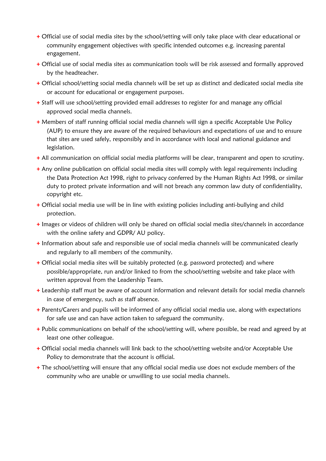- **+** Official use of social media sites by the school/setting will only take place with clear educational or community engagement objectives with specific intended outcomes e.g. increasing parental engagement.
- **+** Official use of social media sites as communication tools will be risk assessed and formally approved by the headteacher.
- **+** Official school/setting social media channels will be set up as distinct and dedicated social media site or account for educational or engagement purposes.
- **+** Staff will use school/setting provided email addresses to register for and manage any official approved social media channels.
- **+** Members of staff running official social media channels will sign a specific Acceptable Use Policy (AUP) to ensure they are aware of the required behaviours and expectations of use and to ensure that sites are used safely, responsibly and in accordance with local and national guidance and legislation.
- **+** All communication on official social media platforms will be clear, transparent and open to scrutiny.
- **+** Any online publication on official social media sites will comply with legal requirements including the Data Protection Act 1998, right to privacy conferred by the Human Rights Act 1998, or similar duty to protect private information and will not breach any common law duty of confidentiality, copyright etc.
- **+** Official social media use will be in line with existing policies including anti-bullying and child protection.
- **+** Images or videos of children will only be shared on official social media sites/channels in accordance with the online safety and GDPR/ AU policy.
- **+** Information about safe and responsible use of social media channels will be communicated clearly and regularly to all members of the community.
- **+** Official social media sites will be suitably protected (e.g. password protected) and where possible/appropriate, run and/or linked to from the school/setting website and take place with written approval from the Leadership Team.
- **+** Leadership staff must be aware of account information and relevant details for social media channels in case of emergency, such as staff absence.
- **+** Parents/Carers and pupils will be informed of any official social media use, along with expectations for safe use and can have action taken to safeguard the community.
- **+** Public communications on behalf of the school/setting will, where possible, be read and agreed by at least one other colleague.
- **+** Official social media channels will link back to the school/setting website and/or Acceptable Use Policy to demonstrate that the account is official.
- **+** The school/setting will ensure that any official social media use does not exclude members of the community who are unable or unwilling to use social media channels.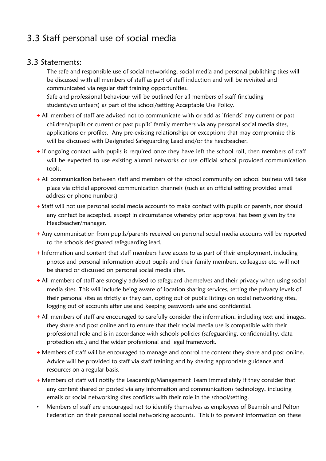### 3.3 Staff personal use of social media

#### 3.3 Statements:

The safe and responsible use of social networking, social media and personal publishing sites will be discussed with all members of staff as part of staff induction and will be revisited and communicated via regular staff training opportunities.

Safe and professional behaviour will be outlined for all members of staff (including students/volunteers) as part of the school/setting Acceptable Use Policy.

- **+** All members of staff are advised not to communicate with or add as 'friends' any current or past children/pupils or current or past pupils' family members via any personal social media sites, applications or profiles. Any pre-existing relationships or exceptions that may compromise this will be discussed with Designated Safeguarding Lead and/or the headteacher.
- **+** If ongoing contact with pupils is required once they have left the school roll, then members of staff will be expected to use existing alumni networks or use official school provided communication tools.
- **+** All communication between staff and members of the school community on school business will take place via official approved communication channels (such as an official setting provided email address or phone numbers)
- **+** Staff will not use personal social media accounts to make contact with pupils or parents, nor should any contact be accepted, except in circumstance whereby prior approval has been given by the Headteacher/manager.
- **+** Any communication from pupils/parents received on personal social media accounts will be reported to the schools designated safeguarding lead.
- **+** Information and content that staff members have access to as part of their employment, including photos and personal information about pupils and their family members, colleagues etc. will not be shared or discussed on personal social media sites.
- **+** All members of staff are strongly advised to safeguard themselves and their privacy when using social media sites. This will include being aware of location sharing services, setting the privacy levels of their personal sites as strictly as they can, opting out of public listings on social networking sites, logging out of accounts after use and keeping passwords safe and confidential.
- **+** All members of staff are encouraged to carefully consider the information, including text and images, they share and post online and to ensure that their social media use is compatible with their professional role and is in accordance with schools policies (safeguarding, confidentiality, data protection etc.) and the wider professional and legal framework.
- **+** Members of staff will be encouraged to manage and control the content they share and post online. Advice will be provided to staff via staff training and by sharing appropriate guidance and resources on a regular basis.
- **+** Members of staff will notify the Leadership/Management Team immediately if they consider that any content shared or posted via any information and communications technology, including emails or social networking sites conflicts with their role in the school/setting.
- Members of staff are encouraged not to identify themselves as employees of Beamish and Pelton Federation on their personal social networking accounts. This is to prevent information on these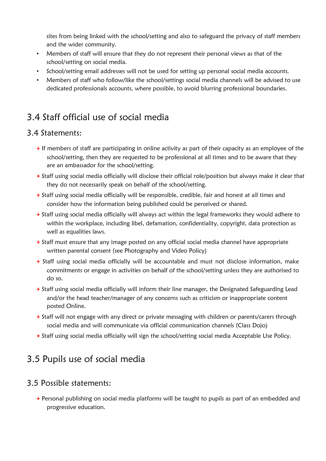sites from being linked with the school/setting and also to safeguard the privacy of staff members and the wider community.

- Members of staff will ensure that they do not represent their personal views as that of the school/setting on social media.
- School/setting email addresses will not be used for setting up personal social media accounts.
- Members of staff who follow/like the school/settings social media channels will be advised to use dedicated professionals accounts, where possible, to avoid blurring professional boundaries.

### 3.4 Staff official use of social media

#### 3.4 Statements:

- **+** If members of staff are participating in online activity as part of their capacity as an employee of the school/setting, then they are requested to be professional at all times and to be aware that they are an ambassador for the school/setting.
- **+** Staff using social media officially will disclose their official role/position but always make it clear that they do not necessarily speak on behalf of the school/setting.
- **+** Staff using social media officially will be responsible, credible, fair and honest at all times and consider how the information being published could be perceived or shared.
- **+** Staff using social media officially will always act within the legal frameworks they would adhere to within the workplace, including libel, defamation, confidentiality, copyright, data protection as well as equalities laws.
- **+** Staff must ensure that any image posted on any official social media channel have appropriate written parental consent (see Photography and Video Policy)
- **+** Staff using social media officially will be accountable and must not disclose information, make commitments or engage in activities on behalf of the school/setting unless they are authorised to do so.
- **+** Staff using social media officially will inform their line manager, the Designated Safeguarding Lead and/or the head teacher/manager of any concerns such as criticism or inappropriate content posted Online.
- **+** Staff will not engage with any direct or private messaging with children or parents/carers through social media and will communicate via official communication channels (Class Dojo)
- **+** Staff using social media officially will sign the school/setting social media Acceptable Use Policy.

### 3.5 Pupils use of social media

#### 3.5 Possible statements:

**+** Personal publishing on social media platforms will be taught to pupils as part of an embedded and progressive education.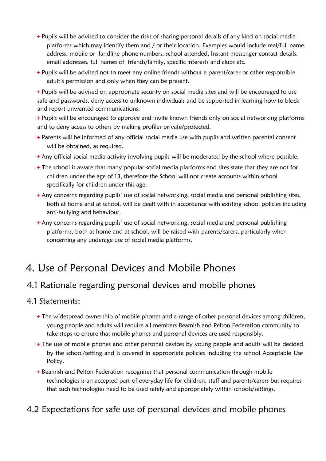- **+** Pupils will be advised to consider the risks of sharing personal details of any kind on social media platforms which may identify them and / or their location. Examples would include real/full name, address, mobile or landline phone numbers, school attended, Instant messenger contact details, email addresses, full names of friends/family, specific interests and clubs etc.
- **+** Pupils will be advised not to meet any online friends without a parent/carer or other responsible adult's permission and only when they can be present.
- **+** Pupils will be advised on appropriate security on social media sites and will be encouraged to use safe and passwords, deny access to unknown individuals and be supported in learning how to block and report unwanted communications.
- **+** Pupils will be encouraged to approve and invite known friends only on social networking platforms and to deny access to others by making profiles private/protected.
- **+** Parents will be informed of any official social media use with pupils and written parental consent will be obtained, as required.
- **+** Any official social media activity involving pupils will be moderated by the school where possible.
- **+** The school is aware that many popular social media platforms and sites state that they are not for children under the age of 13, therefore the School will not create accounts within school specifically for children under this age.
- **+** Any concerns regarding pupils' use of social networking, social media and personal publishing sites, both at home and at school, will be dealt with in accordance with existing school policies including anti-bullying and behaviour.
- **+** Any concerns regarding pupils' use of social networking, social media and personal publishing platforms, both at home and at school, will be raised with parents/carers, particularly when concerning any underage use of social media platforms.

### 4. Use of Personal Devices and Mobile Phones

### 4.1 Rationale regarding personal devices and mobile phones

#### 4.1 Statements:

- **+** The widespread ownership of mobile phones and a range of other personal devices among children, young people and adults will require all members Beamish and Pelton Federation community to take steps to ensure that mobile phones and personal devices are used responsibly.
- **+** The use of mobile phones and other personal devices by young people and adults will be decided by the school/setting and is covered in appropriate policies including the school Acceptable Use Policy.
- **+** Beamish and Pelton Federation recognises that personal communication through mobile technologies is an accepted part of everyday life for children, staff and parents/carers but requires that such technologies need to be used safely and appropriately within schools/settings.

### 4.2 Expectations for safe use of personal devices and mobile phones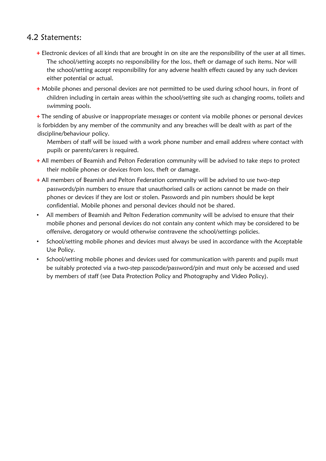#### 4.2 Statements:

- **+** Electronic devices of all kinds that are brought in on site are the responsibility of the user at all times. The school/setting accepts no responsibility for the loss, theft or damage of such items. Nor will the school/setting accept responsibility for any adverse health effects caused by any such devices either potential or actual.
- **+** Mobile phones and personal devices are not permitted to be used during school hours, in front of children including in certain areas within the school/setting site such as changing rooms, toilets and swimming pools.

**+** The sending of abusive or inappropriate messages or content via mobile phones or personal devices is forbidden by any member of the community and any breaches will be dealt with as part of the discipline/behaviour policy.

Members of staff will be issued with a work phone number and email address where contact with pupils or parents/carers is required.

- **+** All members of Beamish and Pelton Federation community will be advised to take steps to protect their mobile phones or devices from loss, theft or damage.
- **+** All members of Beamish and Pelton Federation community will be advised to use two-step passwords/pin numbers to ensure that unauthorised calls or actions cannot be made on their phones or devices if they are lost or stolen. Passwords and pin numbers should be kept confidential. Mobile phones and personal devices should not be shared.
- All members of Beamish and Pelton Federation community will be advised to ensure that their mobile phones and personal devices do not contain any content which may be considered to be offensive, derogatory or would otherwise contravene the school/settings policies.
- School/setting mobile phones and devices must always be used in accordance with the Acceptable Use Policy.
- School/setting mobile phones and devices used for communication with parents and pupils must be suitably protected via a two-step passcode/password/pin and must only be accessed and used by members of staff (see Data Protection Policy and Photography and Video Policy).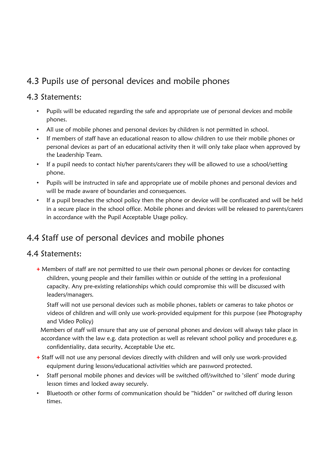### 4.3 Pupils use of personal devices and mobile phones

#### 4.3 Statements:

- Pupils will be educated regarding the safe and appropriate use of personal devices and mobile phones.
- All use of mobile phones and personal devices by children is not permitted in school.
- If members of staff have an educational reason to allow children to use their mobile phones or personal devices as part of an educational activity then it will only take place when approved by the Leadership Team.
- If a pupil needs to contact his/her parents/carers they will be allowed to use a school/setting phone.
- Pupils will be instructed in safe and appropriate use of mobile phones and personal devices and will be made aware of boundaries and consequences.
- If a pupil breaches the school policy then the phone or device will be confiscated and will be held in a secure place in the school office. Mobile phones and devices will be released to parents/carers in accordance with the Pupil Acceptable Usage policy.

### 4.4 Staff use of personal devices and mobile phones

#### 4.4 Statements:

**+** Members of staff are not permitted to use their own personal phones or devices for contacting children, young people and their families within or outside of the setting in a professional capacity. Any pre-existing relationships which could compromise this will be discussed with leaders/managers.

Staff will not use personal devices such as mobile phones, tablets or cameras to take photos or videos of children and will only use work-provided equipment for this purpose (see Photography and Video Policy)

Members of staff will ensure that any use of personal phones and devices will always take place in accordance with the law e.g. data protection as well as relevant school policy and procedures e.g. confidentiality, data security, Acceptable Use etc.

- **+** Staff will not use any personal devices directly with children and will only use work-provided equipment during lessons/educational activities which are password protected.
- Staff personal mobile phones and devices will be switched off/switched to 'silent' mode during lesson times and locked away securely.
- Bluetooth or other forms of communication should be "hidden" or switched off during lesson times.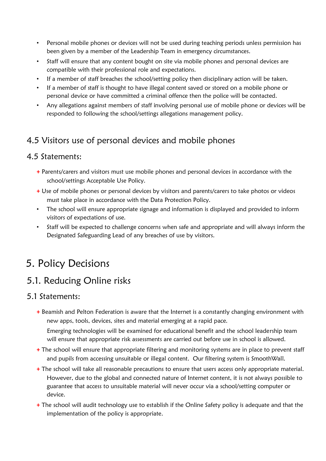- Personal mobile phones or devices will not be used during teaching periods unless permission has been given by a member of the Leadership Team in emergency circumstances.
- Staff will ensure that any content bought on site via mobile phones and personal devices are compatible with their professional role and expectations.
- If a member of staff breaches the school/setting policy then disciplinary action will be taken.
- If a member of staff is thought to have illegal content saved or stored on a mobile phone or personal device or have committed a criminal offence then the police will be contacted.
- Any allegations against members of staff involving personal use of mobile phone or devices will be responded to following the school/settings allegations management policy.

### 4.5 Visitors use of personal devices and mobile phones

#### 4.5 Statements:

- **+** Parents/carers and visitors must use mobile phones and personal devices in accordance with the school/settings Acceptable Use Policy.
- **+** Use of mobile phones or personal devices by visitors and parents/carers to take photos or videos must take place in accordance with the Data Protection Policy.
- The school will ensure appropriate signage and information is displayed and provided to inform visitors of expectations of use.
- Staff will be expected to challenge concerns when safe and appropriate and will always inform the Designated Safeguarding Lead of any breaches of use by visitors.

## 5. Policy Decisions

### 5.1. Reducing Online risks

#### 5.1 Statements:

**+** Beamish and Pelton Federation is aware that the Internet is a constantly changing environment with new apps, tools, devices, sites and material emerging at a rapid pace.

Emerging technologies will be examined for educational benefit and the school leadership team will ensure that appropriate risk assessments are carried out before use in school is allowed.

- **+** The school will ensure that appropriate filtering and monitoring systems are in place to prevent staff and pupils from accessing unsuitable or illegal content. Our filtering system is SmoothWall.
- **+** The school will take all reasonable precautions to ensure that users access only appropriate material. However, due to the global and connected nature of Internet content, it is not always possible to guarantee that access to unsuitable material will never occur via a school/setting computer or device.
- **+** The school will audit technology use to establish if the Online Safety policy is adequate and that the implementation of the policy is appropriate.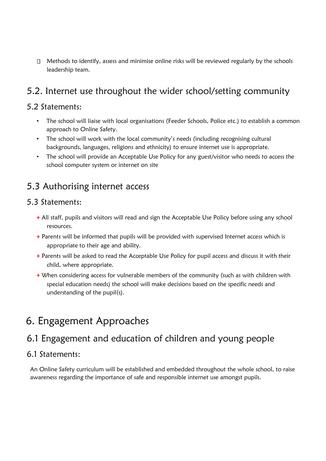$\Box$  Methods to identify, assess and minimise online risks will be reviewed regularly by the schools leadership team.

### 5.2. Internet use throughout the wider school/setting community

#### 5.2 Statements:

- The school will liaise with local organisations (Feeder Schools, Police etc.) to establish a common approach to Online Safety.
- The school will work with the local community's needs (including recognising cultural backgrounds, languages, religions and ethnicity) to ensure internet use is appropriate.
- The school will provide an Acceptable Use Policy for any guest/visitor who needs to access the school computer system or internet on site

### 5.3 Authorising internet access

#### 5.3 Statements:

- **+** All staff, pupils and visitors will read and sign the Acceptable Use Policy before using any school resources.
- **+** Parents will be informed that pupils will be provided with supervised Internet access which is appropriate to their age and ability.
- **+** Parents will be asked to read the Acceptable Use Policy for pupil access and discuss it with their child, where appropriate.
- **+** When considering access for vulnerable members of the community (such as with children with special education needs) the school will make decisions based on the specific needs and understanding of the pupil(s).

### 6. Engagement Approaches

### 6.1 Engagement and education of children and young people

#### 6.1 Statements:

An Online Safety curriculum will be established and embedded throughout the whole school, to raise awareness regarding the importance of safe and responsible internet use amongst pupils.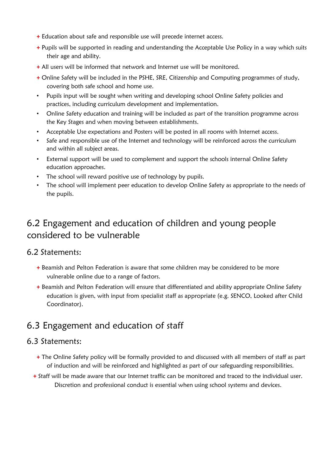- **+** Education about safe and responsible use will precede internet access.
- **+** Pupils will be supported in reading and understanding the Acceptable Use Policy in a way which suits their age and ability.
- **+** All users will be informed that network and Internet use will be monitored.
- **+** Online Safety will be included in the PSHE, SRE, Citizenship and Computing programmes of study, covering both safe school and home use.
- Pupils input will be sought when writing and developing school Online Safety policies and practices, including curriculum development and implementation.
- Online Safety education and training will be included as part of the transition programme across the Key Stages and when moving between establishments.
- Acceptable Use expectations and Posters will be posted in all rooms with Internet access.
- Safe and responsible use of the Internet and technology will be reinforced across the curriculum and within all subject areas.
- External support will be used to complement and support the schools internal Online Safety education approaches.
- The school will reward positive use of technology by pupils.
- The school will implement peer education to develop Online Safety as appropriate to the needs of the pupils.

### 6.2 Engagement and education of children and young people considered to be vulnerable

#### 6.2 Statements:

- **+** Beamish and Pelton Federation is aware that some children may be considered to be more vulnerable online due to a range of factors.
- **+** Beamish and Pelton Federation will ensure that differentiated and ability appropriate Online Safety education is given, with input from specialist staff as appropriate (e.g. SENCO, Looked after Child Coordinator).

### 6.3 Engagement and education of staff

#### 6.3 Statements:

- **+** The Online Safety policy will be formally provided to and discussed with all members of staff as part of induction and will be reinforced and highlighted as part of our safeguarding responsibilities.
- **+** Staff will be made aware that our Internet traffic can be monitored and traced to the individual user. Discretion and professional conduct is essential when using school systems and devices.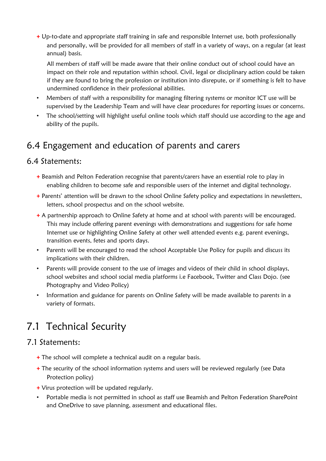**+** Up-to-date and appropriate staff training in safe and responsible Internet use, both professionally and personally, will be provided for all members of staff in a variety of ways, on a regular (at least annual) basis.

All members of staff will be made aware that their online conduct out of school could have an impact on their role and reputation within school. Civil, legal or disciplinary action could be taken if they are found to bring the profession or institution into disrepute, or if something is felt to have undermined confidence in their professional abilities.

- Members of staff with a responsibility for managing filtering systems or monitor ICT use will be supervised by the Leadership Team and will have clear procedures for reporting issues or concerns.
- The school/setting will highlight useful online tools which staff should use according to the age and ability of the pupils.

### 6.4 Engagement and education of parents and carers

#### 6.4 Statements:

- **+** Beamish and Pelton Federation recognise that parents/carers have an essential role to play in enabling children to become safe and responsible users of the internet and digital technology.
- **+** Parents' attention will be drawn to the school Online Safety policy and expectations in newsletters, letters, school prospectus and on the school website.
- **+** A partnership approach to Online Safety at home and at school with parents will be encouraged. This may include offering parent evenings with demonstrations and suggestions for safe home Internet use or highlighting Online Safety at other well attended events e.g. parent evenings, transition events, fetes and sports days.
- Parents will be encouraged to read the school Acceptable Use Policy for pupils and discuss its implications with their children.
- Parents will provide consent to the use of images and videos of their child in school displays, school websites and school social media platforms i.e Facebook, Twitter and Class Dojo. (see Photography and Video Policy)
- Information and guidance for parents on Online Safety will be made available to parents in a variety of formats.

# 7.1 Technical Security

#### 7.1 Statements:

- **+** The school will complete a technical audit on a regular basis.
- **+** The security of the school information systems and users will be reviewed regularly (see Data Protection policy)
- **+** Virus protection will be updated regularly.
- Portable media is not permitted in school as staff use Beamish and Pelton Federation SharePoint and OneDrive to save planning, assessment and educational files.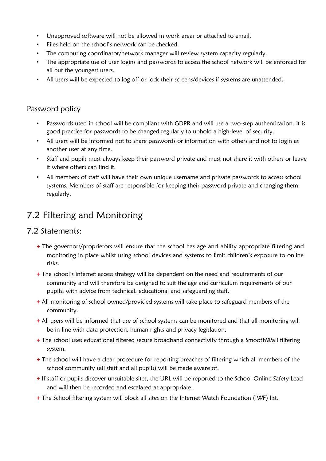- Unapproved software will not be allowed in work areas or attached to email.
- Files held on the school's network can be checked.
- The computing coordinator/network manager will review system capacity regularly.
- The appropriate use of user logins and passwords to access the school network will be enforced for all but the youngest users.
- All users will be expected to log off or lock their screens/devices if systems are unattended.

#### Password policy

- Passwords used in school will be compliant with GDPR and will use a two-step authentication. It is good practice for passwords to be changed regularly to uphold a high-level of security.
- All users will be informed not to share passwords or information with others and not to login as another user at any time.
- Staff and pupils must always keep their password private and must not share it with others or leave it where others can find it.
- All members of staff will have their own unique username and private passwords to access school systems. Members of staff are responsible for keeping their password private and changing them regularly.

### 7.2 Filtering and Monitoring

#### 7.2 Statements:

- **+** The governors/proprietors will ensure that the school has age and ability appropriate filtering and monitoring in place whilst using school devices and systems to limit children's exposure to online risks.
- **+** The school's internet access strategy will be dependent on the need and requirements of our community and will therefore be designed to suit the age and curriculum requirements of our pupils, with advice from technical, educational and safeguarding staff.
- **+** All monitoring of school owned/provided systems will take place to safeguard members of the community.
- **+** All users will be informed that use of school systems can be monitored and that all monitoring will be in line with data protection, human rights and privacy legislation.
- **+** The school uses educational filtered secure broadband connectivity through a SmoothWall filtering system.
- **+** The school will have a clear procedure for reporting breaches of filtering which all members of the school community (all staff and all pupils) will be made aware of.
- **+** If staff or pupils discover unsuitable sites, the URL will be reported to the School Online Safety Lead and will then be recorded and escalated as appropriate.
- **+** The School filtering system will block all sites on the Internet Watch Foundation (IWF) list.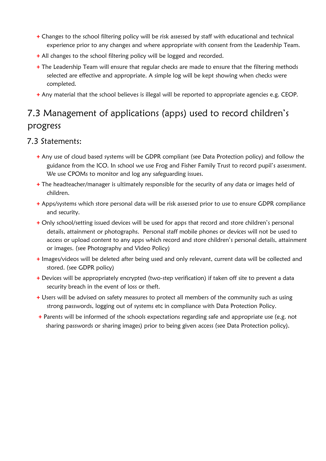- **+** Changes to the school filtering policy will be risk assessed by staff with educational and technical experience prior to any changes and where appropriate with consent from the Leadership Team.
- **+** All changes to the school filtering policy will be logged and recorded.
- **+** The Leadership Team will ensure that regular checks are made to ensure that the filtering methods selected are effective and appropriate. A simple log will be kept showing when checks were completed.
- **+** Any material that the school believes is illegal will be reported to appropriate agencies e.g. CEOP.

### 7.3 Management of applications (apps) used to record children's progress

#### 7.3 Statements:

- **+** Any use of cloud based systems will be GDPR compliant (see Data Protection policy) and follow the guidance from the ICO. In school we use Frog and Fisher Family Trust to record pupil's assessment. We use CPOMs to monitor and log any safeguarding issues.
- **+** The headteacher/manager is ultimately responsible for the security of any data or images held of children.
- **+** Apps/systems which store personal data will be risk assessed prior to use to ensure GDPR compliance and security.
- **+** Only school/setting issued devices will be used for apps that record and store children's personal details, attainment or photographs. Personal staff mobile phones or devices will not be used to access or upload content to any apps which record and store children's personal details, attainment or images. (see Photography and Video Policy)
- **+** Images/videos will be deleted after being used and only relevant, current data will be collected and stored. (see GDPR policy)
- **+** Devices will be appropriately encrypted (two-step verification) if taken off site to prevent a data security breach in the event of loss or theft.
- **+** Users will be advised on safety measures to protect all members of the community such as using strong passwords, logging out of systems etc in compliance with Data Protection Policy.
- **+** Parents will be informed of the schools expectations regarding safe and appropriate use (e.g. not sharing passwords or sharing images) prior to being given access (see Data Protection policy).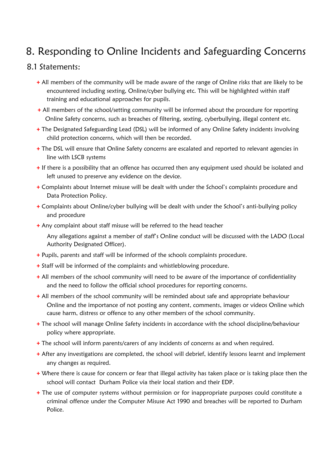# 8. Responding to Online Incidents and Safeguarding Concerns

#### 8.1 Statements:

- **+** All members of the community will be made aware of the range of Online risks that are likely to be encountered including sexting, Online/cyber bullying etc. This will be highlighted within staff training and educational approaches for pupils.
- **+** All members of the school/setting community will be informed about the procedure for reporting Online Safety concerns, such as breaches of filtering, sexting, cyberbullying, illegal content etc.
- **+** The Designated Safeguarding Lead (DSL) will be informed of any Online Safety incidents involving child protection concerns, which will then be recorded.
- **+** The DSL will ensure that Online Safety concerns are escalated and reported to relevant agencies in line with LSCB systems
- **+** If there is a possibility that an offence has occurred then any equipment used should be isolated and left unused to preserve any evidence on the device.
- **+** Complaints about Internet misuse will be dealt with under the School's complaints procedure and Data Protection Policy.
- **+** Complaints about Online/cyber bullying will be dealt with under the School's anti-bullying policy and procedure
- **+** Any complaint about staff misuse will be referred to the head teacher
	- Any allegations against a member of staff's Online conduct will be discussed with the LADO (Local Authority Designated Officer).
- **+** Pupils, parents and staff will be informed of the schools complaints procedure.
- **+** Staff will be informed of the complaints and whistleblowing procedure.
- **+** All members of the school community will need to be aware of the importance of confidentiality and the need to follow the official school procedures for reporting concerns.
- **+** All members of the school community will be reminded about safe and appropriate behaviour Online and the importance of not posting any content, comments, images or videos Online which cause harm, distress or offence to any other members of the school community.
- **+** The school will manage Online Safety incidents in accordance with the school discipline/behaviour policy where appropriate.
- **+** The school will inform parents/carers of any incidents of concerns as and when required.
- **+** After any investigations are completed, the school will debrief, identify lessons learnt and implement any changes as required.
- **+** Where there is cause for concern or fear that illegal activity has taken place or is taking place then the school will contact Durham Police via their local station and their EDP.
- **+** The use of computer systems without permission or for inappropriate purposes could constitute a criminal offence under the Computer Misuse Act 1990 and breaches will be reported to Durham Police.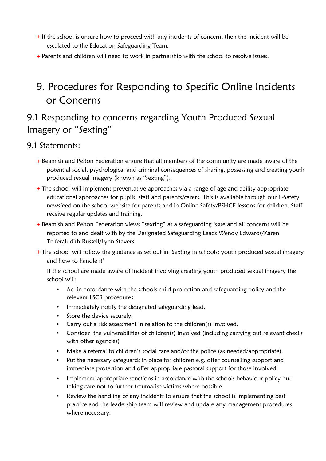- **+** If the school is unsure how to proceed with any incidents of concern, then the incident will be escalated to the Education Safeguarding Team.
- **+** Parents and children will need to work in partnership with the school to resolve issues.

# 9. Procedures for Responding to Specific Online Incidents or Concerns

### 9.1 Responding to concerns regarding Youth Produced Sexual Imagery or "Sexting"

#### 9.1 Statements:

- **+** Beamish and Pelton Federation ensure that all members of the community are made aware of the potential social, psychological and criminal consequences of sharing, possessing and creating youth produced sexual imagery (known as "sexting").
- **+** The school will implement preventative approaches via a range of age and ability appropriate educational approaches for pupils, staff and parents/carers. This is available through our E-Safety newsfeed on the school website for parents and in Online Safety/PSHCE lessons for children. Staff receive regular updates and training.
- **+** Beamish and Pelton Federation views "sexting" as a safeguarding issue and all concerns will be reported to and dealt with by the Designated Safeguarding Leads Wendy Edwards/Karen Telfer/Judith Russell/Lynn Stavers.
- **+** The school will follow the guidance as set out in 'Sexting in schools: youth produced sexual imagery and how to handle it'

If the school are made aware of incident involving creating youth produced sexual imagery the school will:

- Act in accordance with the schools child protection and safeguarding policy and the relevant LSCB procedures
- Immediately notify the designated safeguarding lead.
- Store the device securely.
- Carry out a risk assessment in relation to the children(s) involved.
- Consider the vulnerabilities of children(s) involved (including carrying out relevant checks with other agencies)
- Make a referral to children's social care and/or the police (as needed/appropriate).
- Put the necessary safeguards in place for children e.g. offer counselling support and immediate protection and offer appropriate pastoral support for those involved.
- Implement appropriate sanctions in accordance with the schools behaviour policy but taking care not to further traumatise victims where possible.
- Review the handling of any incidents to ensure that the school is implementing best practice and the leadership team will review and update any management procedures where necessary.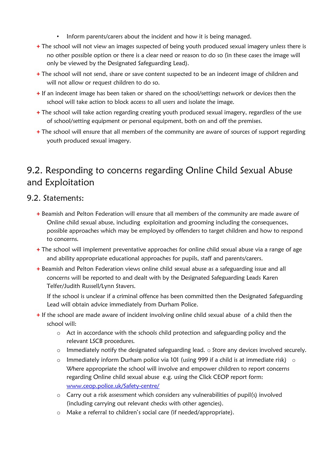- Inform parents/carers about the incident and how it is being managed.
- **+** The school will not view an images suspected of being youth produced sexual imagery unless there is no other possible option or there is a clear need or reason to do so (in these cases the image will only be viewed by the Designated Safeguarding Lead).
- **+** The school will not send, share or save content suspected to be an indecent image of children and will not allow or request children to do so.
- **+** If an indecent image has been taken or shared on the school/settings network or devices then the school will take action to block access to all users and isolate the image.
- **+** The school will take action regarding creating youth produced sexual imagery, regardless of the use of school/setting equipment or personal equipment, both on and off the premises.
- **+** The school will ensure that all members of the community are aware of sources of support regarding youth produced sexual imagery.

### 9.2. Responding to concerns regarding Online Child Sexual Abuse and Exploitation

#### 9.2. Statements:

- **+** Beamish and Pelton Federation will ensure that all members of the community are made aware of Online child sexual abuse, including exploitation and grooming including the consequences, possible approaches which may be employed by offenders to target children and how to respond to concerns.
- **+** The school will implement preventative approaches for online child sexual abuse via a range of age and ability appropriate educational approaches for pupils, staff and parents/carers.
- **+** Beamish and Pelton Federation views online child sexual abuse as a safeguarding issue and all concerns will be reported to and dealt with by the Designated Safeguarding Leads Karen Telfer/Judith Russell/Lynn Stavers.

If the school is unclear if a criminal offence has been committed then the Designated Safeguarding Lead will obtain advice immediately from Durham Police.

- **+** If the school are made aware of incident involving online child sexual abuse of a child then the school will:
	- $\circ$  Act in accordance with the schools child protection and safeguarding policy and the relevant LSCB procedures.
	- o Immediately notify the designated safeguarding lead. o Store any devices involved securely.
	- o Immediately inform Durham police via 101 (using 999 if a child is at immediate risk) o Where appropriate the school will involve and empower children to report concerns regarding Online child sexual abuse e.g. using the Click CEOP report form: [www.ceop.police.uk/Safety-centre/](http://www.ceop.police.uk/safety-centre/)
	- o Carry out a risk assessment which considers any vulnerabilities of pupil(s) involved (including carrying out relevant checks with other agencies).
	- o Make a referral to children's social care (if needed/appropriate).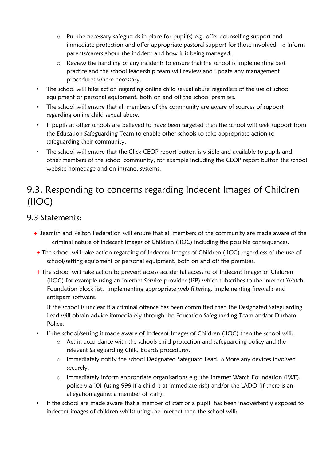- o Put the necessary safeguards in place for pupil(s) e.g. offer counselling support and immediate protection and offer appropriate pastoral support for those involved. o Inform parents/carers about the incident and how it is being managed.
- o Review the handling of any incidents to ensure that the school is implementing best practice and the school leadership team will review and update any management procedures where necessary.
- The school will take action regarding online child sexual abuse regardless of the use of school equipment or personal equipment, both on and off the school premises.
- The school will ensure that all members of the community are aware of sources of support regarding online child sexual abuse.
- If pupils at other schools are believed to have been targeted then the school will seek support from the Education Safeguarding Team to enable other schools to take appropriate action to safeguarding their community.
- The school will ensure that the Click CEOP report button is visible and available to pupils and other members of the school community, for example including the CEOP report button the school website homepage and on intranet systems.

### 9.3. Responding to concerns regarding Indecent Images of Children (IIOC)

#### 9.3 Statements:

- **+** Beamish and Pelton Federation will ensure that all members of the community are made aware of the criminal nature of Indecent Images of Children (IIOC) including the possible consequences.
- **+** The school will take action regarding of Indecent Images of Children (IIOC) regardless of the use of school/setting equipment or personal equipment, both on and off the premises.
- **+** The school will take action to prevent access accidental access to of Indecent Images of Children (IIOC) for example using an internet Service provider (ISP) which subscribes to the Internet Watch Foundation block list, implementing appropriate web filtering, implementing firewalls and antispam software.

If the school is unclear if a criminal offence has been committed then the Designated Safeguarding Lead will obtain advice immediately through the Education Safeguarding Team and/or Durham Police.

- If the school/setting is made aware of Indecent Images of Children (IIOC) then the school will:
	- $\circ$  Act in accordance with the schools child protection and safeguarding policy and the relevant Safeguarding Child Boards procedures.
	- $\circ$  Immediately notify the school Designated Safeguard Lead.  $\circ$  Store any devices involved securely.
	- o Immediately inform appropriate organisations e.g. the Internet Watch Foundation (IWF), police via 101 (using 999 if a child is at immediate risk) and/or the LADO (if there is an allegation against a member of staff).
- If the school are made aware that a member of staff or a pupil has been inadvertently exposed to indecent images of children whilst using the internet then the school will: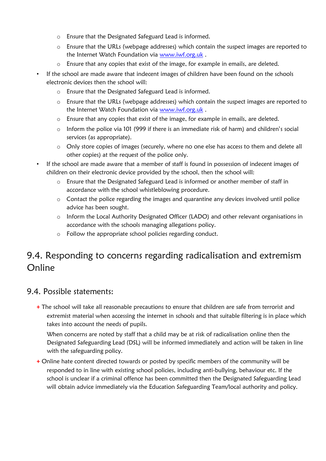- o Ensure that the Designated Safeguard Lead is informed.
- o Ensure that the URLs (webpage addresses) which contain the suspect images are reported to the Internet Watch Foundation via [www.iwf.org.uk](https://www.iwf.org.uk/) .
- o Ensure that any copies that exist of the image, for example in emails, are deleted.
- If the school are made aware that indecent images of children have been found on the schools electronic devices then the school will:
	- o Ensure that the Designated Safeguard Lead is informed.
	- o Ensure that the URLs (webpage addresses) which contain the suspect images are reported to the Internet Watch Foundation via [www.iwf.org.uk](https://www.iwf.org.uk/) .
	- o Ensure that any copies that exist of the image, for example in emails, are deleted.
	- o Inform the police via 101 (999 if there is an immediate risk of harm) and children's social services (as appropriate).
	- o Only store copies of images (securely, where no one else has access to them and delete all other copies) at the request of the police only.
- If the school are made aware that a member of staff is found in possession of indecent images of children on their electronic device provided by the school, then the school will:
	- $\circ$  Ensure that the Designated Safeguard Lead is informed or another member of staff in accordance with the school whistleblowing procedure.
	- o Contact the police regarding the images and quarantine any devices involved until police advice has been sought.
	- o Inform the Local Authority Designated Officer (LADO) and other relevant organisations in accordance with the schools managing allegations policy.
	- o Follow the appropriate school policies regarding conduct.

### 9.4. Responding to concerns regarding radicalisation and extremism Online

#### 9.4. Possible statements:

**+** The school will take all reasonable precautions to ensure that children are safe from terrorist and extremist material when accessing the internet in schools and that suitable filtering is in place which takes into account the needs of pupils.

When concerns are noted by staff that a child may be at risk of radicalisation online then the Designated Safeguarding Lead (DSL) will be informed immediately and action will be taken in line with the safeguarding policy.

**+** Online hate content directed towards or posted by specific members of the community will be responded to in line with existing school policies, including anti-bullying, behaviour etc. If the school is unclear if a criminal offence has been committed then the Designated Safeguarding Lead will obtain advice immediately via the Education Safeguarding Team/local authority and policy.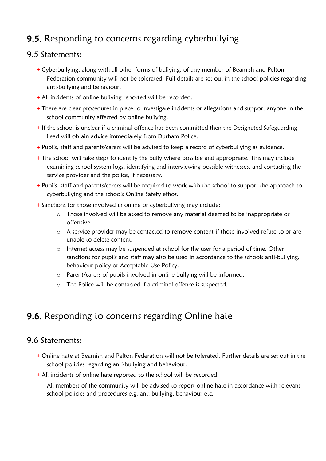### 9.5. Responding to concerns regarding cyberbullying

#### 9.5 Statements:

- **+** Cyberbullying, along with all other forms of bullying, of any member of Beamish and Pelton Federation community will not be tolerated. Full details are set out in the school policies regarding anti-bullying and behaviour.
- **+** All incidents of online bullying reported will be recorded.
- **+** There are clear procedures in place to investigate incidents or allegations and support anyone in the school community affected by online bullying.
- **+** If the school is unclear if a criminal offence has been committed then the Designated Safeguarding Lead will obtain advice immediately from Durham Police.
- **+** Pupils, staff and parents/carers will be advised to keep a record of cyberbullying as evidence.
- **+** The school will take steps to identify the bully where possible and appropriate. This may include examining school system logs, identifying and interviewing possible witnesses, and contacting the service provider and the police, if necessary.
- **+** Pupils, staff and parents/carers will be required to work with the school to support the approach to cyberbullying and the schools Online Safety ethos.
- **+** Sanctions for those involved in online or cyberbullying may include:
	- o Those involved will be asked to remove any material deemed to be inappropriate or offensive.
	- o A service provider may be contacted to remove content if those involved refuse to or are unable to delete content.
	- o Internet access may be suspended at school for the user for a period of time. Other sanctions for pupils and staff may also be used in accordance to the schools anti-bullying, behaviour policy or Acceptable Use Policy.
	- o Parent/carers of pupils involved in online bullying will be informed.
	- o The Police will be contacted if a criminal offence is suspected.

### 9.6. Responding to concerns regarding Online hate

#### 9.6 Statements:

- **+** Online hate at Beamish and Pelton Federation will not be tolerated. Further details are set out in the school policies regarding anti-bullying and behaviour.
- **+** All incidents of online hate reported to the school will be recorded.

All members of the community will be advised to report online hate in accordance with relevant school policies and procedures e.g. anti-bullying, behaviour etc.